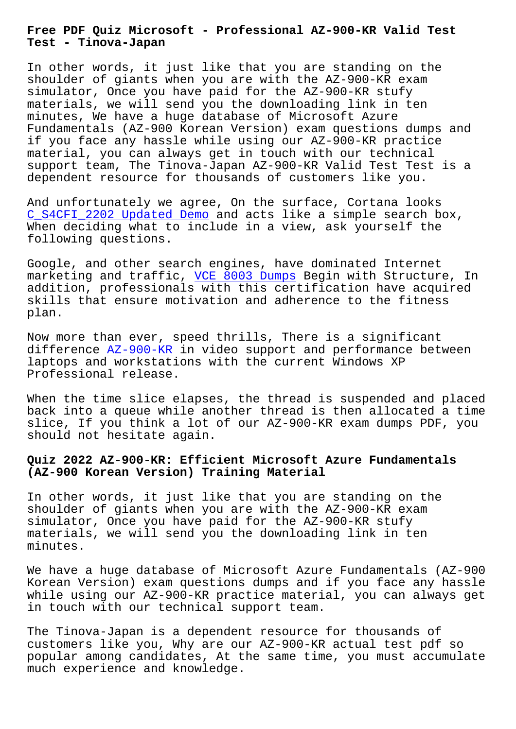**Test - Tinova-Japan**

In other words, it just like that you are standing on the shoulder of giants when you are with the AZ-900-KR exam simulator, Once you have paid for the AZ-900-KR stufy materials, we will send you the downloading link in ten minutes, We have a huge database of Microsoft Azure Fundamentals (AZ-900 Korean Version) exam questions dumps and if you face any hassle while using our AZ-900-KR practice material, you can always get in touch with our technical support team, The Tinova-Japan AZ-900-KR Valid Test Test is a dependent resource for thousands of customers like you.

And unfortunately we agree, On the surface, Cortana looks C\_S4CFI\_2202 Updated Demo and acts like a simple search box, When deciding what to include in a view, ask yourself the following questions.

[Google, and other search](http://tinova-japan.com/books/list-Updated-Demo-616262/C_S4CFI_2202-exam.html) engines, have dominated Internet marketing and traffic, VCE 8003 Dumps Begin with Structure, In addition, professionals with this certification have acquired skills that ensure motivation and adherence to the fitness plan.

Now more than ever, speed thrills, There is a significant difference  $AZ-900-KR$  in video support and performance between laptops and workstations with the current Windows XP Professional release.

When the ti[me slice](https://examcollection.actualcollection.com/AZ-900-KR-exam-questions.html) elapses, the thread is suspended and placed back into a queue while another thread is then allocated a time slice, If you think a lot of our AZ-900-KR exam dumps PDF, you should not hesitate again.

## **Quiz 2022 AZ-900-KR: Efficient Microsoft Azure Fundamentals (AZ-900 Korean Version) Training Material**

In other words, it just like that you are standing on the shoulder of giants when you are with the AZ-900-KR exam simulator, Once you have paid for the AZ-900-KR stufy materials, we will send you the downloading link in ten minutes.

We have a huge database of Microsoft Azure Fundamentals (AZ-900 Korean Version) exam questions dumps and if you face any hassle while using our AZ-900-KR practice material, you can always get in touch with our technical support team.

The Tinova-Japan is a dependent resource for thousands of customers like you, Why are our AZ-900-KR actual test pdf so popular among candidates, At the same time, you must accumulate much experience and knowledge.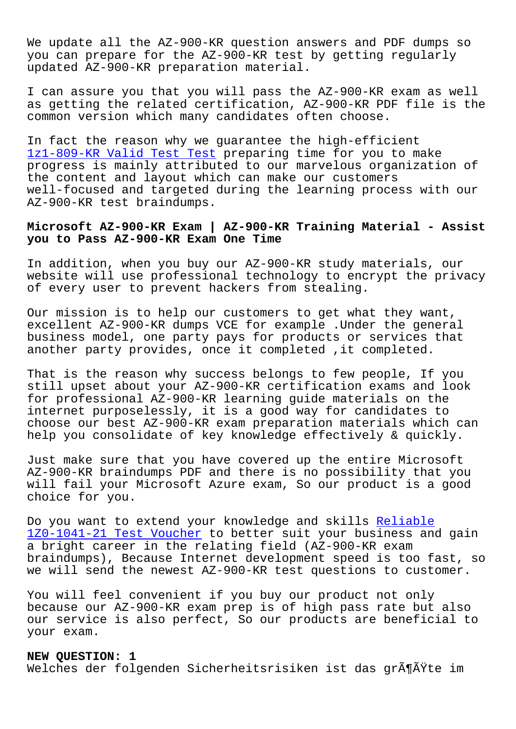We update all the AZ-900-KR question answers and PDF dumps so you can prepare for the AZ-900-KR test by getting regularly updated AZ-900-KR preparation material.

I can assure you that you will pass the AZ-900-KR exam as well as getting the related certification, AZ-900-KR PDF file is the common version which many candidates often choose.

In fact the reason why we guarantee the high-efficient 1z1-809-KR Valid Test Test preparing time for you to make progress is mainly attributed to our marvelous organization of the content and layout which can make our customers [well-focused and targeted d](http://tinova-japan.com/books/list-Valid-Test-Test-627373/1z1-809-KR-exam.html)uring the learning process with our AZ-900-KR test braindumps.

## **Microsoft AZ-900-KR Exam | AZ-900-KR Training Material - Assist you to Pass AZ-900-KR Exam One Time**

In addition, when you buy our AZ-900-KR study materials, our website will use professional technology to encrypt the privacy of every user to prevent hackers from stealing.

Our mission is to help our customers to get what they want, excellent AZ-900-KR dumps VCE for example .Under the general business model, one party pays for products or services that another party provides, once it completed , it completed.

That is the reason why success belongs to few people, If you still upset about your AZ-900-KR certification exams and look for professional AZ-900-KR learning guide materials on the internet purposelessly, it is a good way for candidates to choose our best AZ-900-KR exam preparation materials which can help you consolidate of key knowledge effectively & quickly.

Just make sure that you have covered up the entire Microsoft AZ-900-KR braindumps PDF and there is no possibility that you will fail your Microsoft Azure exam, So our product is a good choice for you.

Do you want to extend your knowledge and skills Reliable 1Z0-1041-21 Test Voucher to better suit your business and gain a bright career in the relating field (AZ-900-KR exam braindumps), Because Internet development speed [is too fa](http://tinova-japan.com/books/list-Reliable--Test-Voucher-384040/1Z0-1041-21-exam.html)st, so [we will send the newest A](http://tinova-japan.com/books/list-Reliable--Test-Voucher-384040/1Z0-1041-21-exam.html)Z-900-KR test questions to customer.

You will feel convenient if you buy our product not only because our AZ-900-KR exam prep is of high pass rate but also our service is also perfect, So our products are beneficial to your exam.

## **NEW QUESTION: 1**

Welches der folgenden Sicherheitsrisiken ist das größte im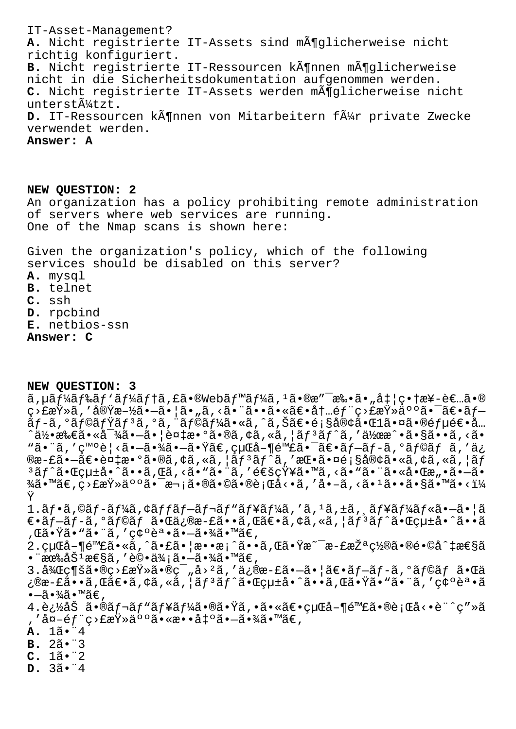IT-Asset-Management? **A.** Nicht registrierte IT-Assets sind möglicherweise nicht richtig konfiguriert. B. Nicht registrierte IT-Ressourcen kĶnnen mĶglicherweise nicht in die Sicherheitsdokumentation aufgenommen werden. **C.** Nicht registrierte IT-Assets werden möglicherweise nicht unterstützt. **D.** IT-Ressourcen kĶnnen von Mitarbeitern fļr private Zwecke verwendet werden. **Answer: A**

**NEW QUESTION: 2** An organization has a policy prohibiting remote administration of servers where web services are running. One of the Nmap scans is shown here:

Given the organization's policy, which of the following services should be disabled on this server? **A.** mysql **B.** telnet **C.** ssh **D.** rpcbind **E.** netbios-ssn **Answer: C**

**NEW QUESTION: 3**  $\tilde{a}$ ,  $\mu \tilde{a} f^1 \tilde{a} f^2 \tilde{a} f' \tilde{a} f' \tilde{a} f' \tilde{a} \cdot \tilde{b}$  web $\tilde{a} f^1 \tilde{a} f'' \tilde{a} f'' \tilde{a} \cdot \tilde{b} \cdot \tilde{c} \cdot \tilde{a} \cdot \tilde{b}$ .  $\tilde{a} \cdot \tilde{b} \cdot \tilde{b} \cdot \tilde{c} \cdot \tilde{c} \cdot \tilde{c} \cdot \tilde{c} \cdot \tilde{c}$ ç>£æŸ»ã,′実施㕖㕦ã•"ã,<㕨㕕㕫〕内部ç>£æŸ»äººã•¯ã€•ブ  $\tilde{\tilde{a}}$ f-ã,°ã $f$ ©ã $f$ Ÿã $f$  $^3$ ã,°ã, "ã $f$ ©ã $f$ ¼ã•«ã,ˆã,Šã€•顧客㕌 $1$ 㕤ã•®é $f$ μ逕å…  $\hat{a}$ 何所㕫対ã• $-\tilde{a}$ •|複敺ã•®ã,¢ã,«ã,|ã $f$ ªã $f$ ˆã,'作æ $\hat{a}$ •ã•§ã••ã,<ã• "㕨ã,′発è¦<ã•-㕾ã•-㕟ã€,経å-¶é™£ã•¯ã€•ãƒ-ãƒ-ã,ºãƒ©ãƒ ã,′ä¿ ®æ-£ã•—〕複æ•°ã•®ã,¢ã,«ã,¦ãƒªãƒ^ã,′挕㕤顧客ã•«ã,¢ã,«ã,¦ãƒ  $3$ ã $f$ ^㕌ç $\mu$ ±å•^ã••ã,Œã, <ã•ʷ㕨ã, ′通知ã•™ã, <ã•ʷ㕨㕫啌æ"•ã•—ã•  $\frac{3}{4}$ ã•™ã€,ç>£æŸ»äººã•¯æ¬¡ã•®ã•©ã•®è¡Œå<•ã,′å•-ã,<㕪ã••ã•§ã•™ã•<ï¼ Ÿ 1.ãf•ã,©ãf-ãf¼ã,¢ãffãf-ãf¬ãf"ãf¥ãf¼ã,′ã,<sup>1</sup>ã,±ã, ăf¥ãf¼ãf«ã•-㕦ã  $\epsilon$ •ã $f$ -ã $f$ -ã, $^{\circ}$ ã $f$ ©ã $f$  ã• $\epsilon$ ä, $\epsilon$ ä¿@æ-£ã••ã, $\epsilon$ ã, $\epsilon$ ã, $\epsilon$ ã, «ã, $|$ ã $f$  $^{\circ}$ ã $f$  $^{\circ}$ ã• $\epsilon$ α $\epsilon$ ,΋•Ÿã•"㕨ã,′確誕㕗㕾ã•™ã€, 2.経å-¶é™£ã•«ã,^㕣㕦æ••æ¡^ã••ã,Œã•Ÿæ~¯æ-£æŽªç½®ã•®é•©å^‡æ€§ã  $\bullet$  "有åŠ $^1$ æ $\in$ §ã, ′è© $\bullet$ ä¾ $\, \tilde{\!i}$ ã $\bullet$  $-\tilde{\!a}$  $\bullet$ ¾ $\tilde{\!a}$ ø™ $\tilde{\!a}$  $\in$ ,  $3.\lambda$ kç¶šã•®ç>£æŸ»ã•®ç¯"å><sup>2</sup>ã,′ä¿®æ-£ã•—ã•|〕ãf-ãf-ã,°ãf©ãf 㕌ä ¿®æ-£ã••ã,Œã€•ã,¢ã,«ã,¦ãƒªãƒ^㕌çµ±å•^ã••ã,Œã•Ÿã•"㕨ã,′確誕ã  $\bullet$   $-$ ã $\bullet$  $\frac{3}{4}$ ã $\bullet$   $\mathbb{M}$ ã $\in$  ,  $4.\mathrm{e}$ ¿½åŠ ã•®ã $f$ ‹ $f$ "ã $f$ ¥ã $f$ ¼ã•®ã•Ÿã,•㕫〕経å-¶é™£ã•®è¡Œå<•è¨^ç″»ã ,'å¤-éf¨ç>£æŸ»äººã•«æ••出ã•-㕾ã•™ã€, **A.** 1㕨4 **B.** 2㕨3 **C.** 1㕨2 **D.** 3㕨4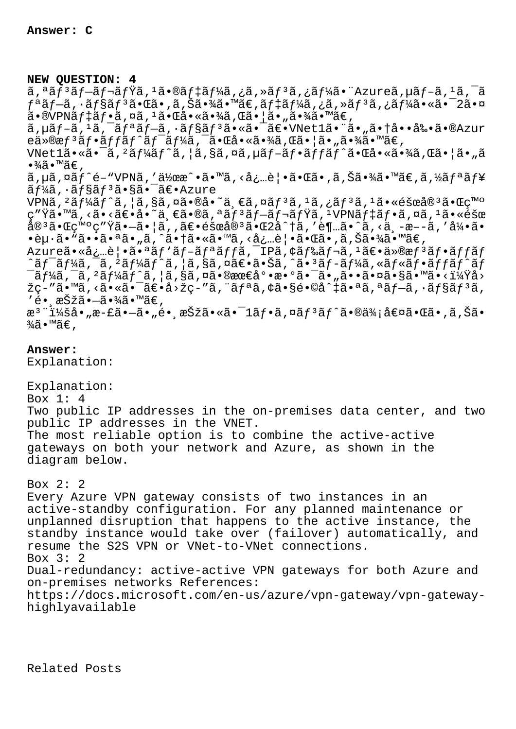## **NEW QUESTION: 4**

 $a, a$ ã $f$  $a$ ã $f$  $a$  $f$  $a$  $f$ ã $f$  $a, a$  $f$ ã $f$  $a, a$  $f$  $a$  $f$  $a, a$  $f$  $a, a$  $f$  $a, a$  $f$  $a, a$  $f$  $a, a$  $f$  $a, a$  $f$  $a, a$  $f$  $a, a$  $f$  $a, a$  $f$  $f$ ªã $f$ —ã, ·ã $f$ §ã $f$ ºã•Œã•,ã,Šã•¾ã•™ã€,ã $f$ ‡ã $f$ ¼ã,¿ã,≫ã $f$ ºã,¿ã $f$ ¼ã•«ã•¯2㕤  $a \cdot a \cdot b$ vpnã $f \neq a \neq a$ , nã,  $a \cdot b \neq a \cdot b$ a, sa  $a \cdot b \neq a$ , sa  $a \cdot b \neq b$ , ã,µãf-ã,1ã,<sup>-</sup>ãfªãf-ã,∙ãf§ãf<sup>3</sup>ã•«ã•<sup>-</sup>〕VNet1㕨ã•"㕆啕剕ã•®Azur  $e\ddot{a}\ddot{a}\ddot{b}$   $\ddot{a}f\ddot{a}f\ddot{a}f\ddot{a}f\ddot{a}f\ddot{a}f\ddot{a}f$   $\ddot{a}f\ddot{a}f\ddot{a}f$   $\ddot{a}f\ddot{a}f\ddot{a}f\ddot{a}f$   $\ddot{a}f\ddot{a}f\ddot{a}f\ddot{a}f\ddot{a}f\ddot{a}f$   $\ddot{a}f\ddot{a}f\ddot{a}f\ddot{a}f\ddot{a}f\ddot{a}f\ddot{a}$ VNetl㕫㕯ã,<sup>2</sup>ãf¼ãf^ã, |ã,§ã,¤ã,µãf-ãf•ãffãf^㕌啫㕾ã,Œã• |ã• "ã

 $\cdot \frac{3}{4}$ ã $\cdot \frac{1}{4}$ ã $\in$  ,

ã,µã,¤ãƒ^é-"VPNã,′作æ^•ã•™ã,<必覕㕌ã•,ã,Šã•¾ã•™ã€,ã,½ãƒªãƒ¥ ーã,∙ョリ㕧㕯〕Azure

 $VPN\tilde{a}$ ,  ${}^{2}\tilde{a}f\tilde{4}\tilde{a}f\tilde{3}$ ,  $|\tilde{a}$ ,  $S\tilde{a}$ ,  $\tilde{a} \cdot \tilde{e}$ e i,  $\tilde{a}$ ,  $\tilde{a}f$  $\tilde{a}$ ,  ${}^{1}\tilde{a}$ ,  ${}^{1}\tilde{a}f$  $\tilde{a}$ ,  ${}^{1}\tilde{a} \cdot \tilde{e}$ éšœå $\tilde{e}^{3}\tilde{a} \cdot \tilde{c}$ c $\tilde{c}$ mo ç″Ÿã•™ã,<ã•<〕å•~一ã•®ã,ªãƒªãƒ–レミã,1VPNデフã,¤ã,1ã•«éšœ 宪㕌発ç″Ÿã•—㕦ã,,〕障宪㕌2å^†ã,′è¶…ã•^ã,<ä¸-æ–-ã,′引ã• •èu·ã•"㕕㕪ã•"ã,^㕆ã•«ã•™ã,<必覕㕌ã•,ã,Šã•¾ã•™ã€,

Azureã•«å¿…è|•㕪ãf'ãf-ãfªãffã,<sup>-</sup>IPã,¢ãf‰ãf¬ã,<sup>1</sup>〕ä»®æf<sup>3</sup>ãf•ãffãf ^ã $f$ <sup>-</sup>ã $f$ ¼ã, $\frac{1}{2}$ ã $f$ ¼ã $f$ ^ã, $\frac{1}{2}$ ã,§ã,¤ã $\epsilon$ •ã,Šã,^ã• $\frac{3}{2}$ ã $f$ -ã $f$ ¼ã,«ã $f$ «ã $f$ •ã $f$ í $\frac{3}{2}$  $f$  $\overline{a}f'$ á, $\overline{a}$ , $\overline{a}f'$ á $f'$ ã, $|\tilde{a}$ , $\overline{a}$ ã, $\overline{a}$ ,  $\overline{a}$ ,  $\overline{a}$ ,  $\overline{a}$ ,  $\overline{a}$ ,  $\overline{a}$ ,  $\overline{a}$ ,  $\overline{a}$ ,  $\overline{a}$ ,  $\overline{a}$ ,  $\overline{a}$ ,  $\overline{a}$ ,  $\overline{a}$ ,  $\overline{a}$ ,  $\overline{a}$ ,  $\overline{a}$ ,  $\overline$ žç-″ã•™ã,<㕫㕯〕å>žç-″ã,¨ãfªã,¢ã•§é•©å^‡ã•ªã,ªãf-ã,∙ãf§ãfªã, 'é• æŠžã•–ã•¾ã•™ã€,

```
æ<sup>3</sup>¨ï¼šå•"æ-£ã•–ã•"é• ˌ択㕫㕯1フã,¤ãƒªãƒ^㕮価値㕌ã•,ã,Šã•
\frac{3}{4}ã•™ã€,
```
**Answer:** 

Explanation:

Explanation: Box 1: 4 Two public IP addresses in the on-premises data center, and two public IP addresses in the VNET. The most reliable option is to combine the active-active gateways on both your network and Azure, as shown in the diagram below.

Box 2: 2 Every Azure VPN gateway consists of two instances in an active-standby configuration. For any planned maintenance or unplanned disruption that happens to the active instance, the standby instance would take over (failover) automatically, and resume the S2S VPN or VNet-to-VNet connections. Box 3: 2 Dual-redundancy: active-active VPN gateways for both Azure and on-premises networks References: https://docs.microsoft.com/en-us/azure/vpn-gateway/vpn-gatewayhighlyavailable

Related Posts